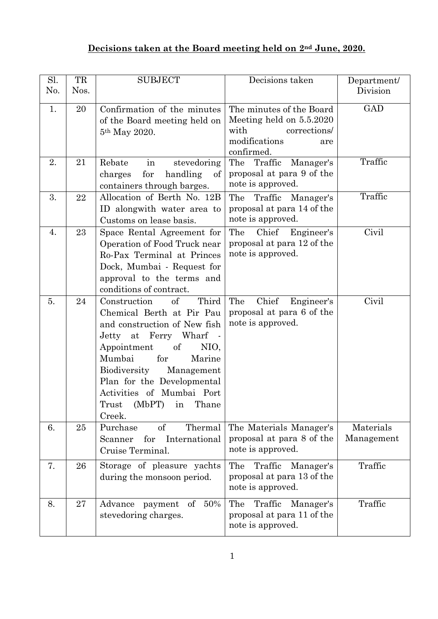## **Decisions taken at the Board meeting held on 2nd June, 2020.**

| Sl.<br>N <sub>0</sub> . | TR<br>Nos. | <b>SUBJECT</b>                                                                                                                                                                                                                                                                                                | Decisions taken                                                                                                    | Department/<br>Division |
|-------------------------|------------|---------------------------------------------------------------------------------------------------------------------------------------------------------------------------------------------------------------------------------------------------------------------------------------------------------------|--------------------------------------------------------------------------------------------------------------------|-------------------------|
| 1.                      | 20         | Confirmation of the minutes<br>of the Board meeting held on<br>5 <sup>th</sup> May 2020.                                                                                                                                                                                                                      | The minutes of the Board<br>Meeting held on 5.5.2020<br>with<br>corrections/<br>modifications<br>are<br>confirmed. | GAD                     |
| 2.                      | 21         | Rebate<br>$\operatorname{in}$<br>stevedoring<br>for<br>handling<br>charges<br>of<br>containers through barges.                                                                                                                                                                                                | The<br>Traffic<br>Manager's<br>proposal at para 9 of the<br>note is approved.                                      | Traffic                 |
| 3.                      | 22         | Allocation of Berth No. 12B<br>ID alongwith water area to<br>Customs on lease basis.                                                                                                                                                                                                                          | The Traffic Manager's<br>proposal at para 14 of the<br>note is approved.                                           | Traffic                 |
| 4.                      | 23         | Space Rental Agreement for<br>Operation of Food Truck near<br>Ro-Pax Terminal at Princes<br>Dock, Mumbai - Request for<br>approval to the terms and<br>conditions of contract.                                                                                                                                | Chief<br>The<br>Engineer's<br>proposal at para 12 of the<br>note is approved.                                      | Civil                   |
| 5.                      | 24         | of<br>Third<br>Construction<br>Chemical Berth at Pir Pau<br>and construction of New fish<br>Jetty at Ferry Wharf<br>Appointment<br>of<br>NIO,<br>for<br>Mumbai<br>Marine<br>Biodiversity<br>Management<br>Plan for the Developmental<br>Activities of Mumbai Port<br>(MbPT)<br>in<br>Trust<br>Thane<br>Creek. | Chief<br>The<br>Engineer's<br>proposal at para 6 of the<br>note is approved.                                       | Civil                   |
| 6.                      | 25         | Purchase<br>of<br>Thermal<br>for<br>International<br>Scanner<br>Cruise Terminal.                                                                                                                                                                                                                              | The Materials Manager's<br>proposal at para 8 of the<br>note is approved.                                          | Materials<br>Management |
| 7.                      | 26         | Storage of pleasure yachts<br>during the monsoon period.                                                                                                                                                                                                                                                      | Traffic<br>The<br>Manager's<br>proposal at para 13 of the<br>note is approved.                                     | Traffic                 |
| 8.                      | 27         | 50%<br>Advance<br>of<br>payment<br>stevedoring charges.                                                                                                                                                                                                                                                       | The<br>Traffic<br>Manager's<br>proposal at para 11 of the<br>note is approved.                                     | Traffic                 |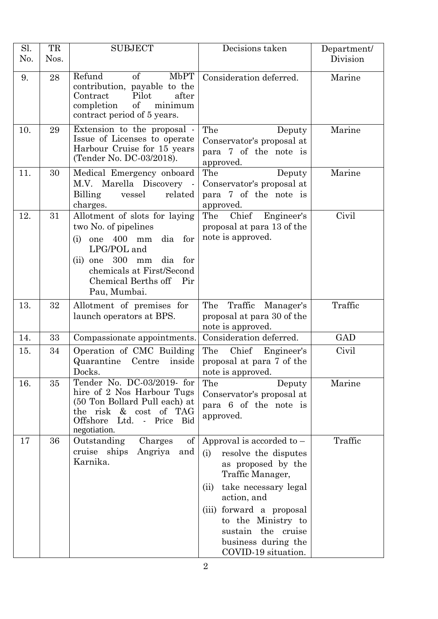| Sl.<br>No. | TR<br>Nos. | <b>SUBJECT</b>                                                                                                                                                                                                          | Decisions taken                                                                                                                                                                                                                                                           | Department/<br>Division |
|------------|------------|-------------------------------------------------------------------------------------------------------------------------------------------------------------------------------------------------------------------------|---------------------------------------------------------------------------------------------------------------------------------------------------------------------------------------------------------------------------------------------------------------------------|-------------------------|
| 9.         | 28         | Refund<br>of<br><b>MbPT</b><br>contribution, payable to the<br>Contract<br>Pilot<br>after<br>of<br>completion<br>minimum<br>contract period of 5 years.                                                                 | Consideration deferred.                                                                                                                                                                                                                                                   | Marine                  |
| 10.        | 29         | Extension to the proposal -<br>Issue of Licenses to operate<br>Harbour Cruise for 15 years<br>(Tender No. DC-03/2018).                                                                                                  | The<br>Deputy<br>Conservator's proposal at<br>para 7 of the note is<br>approved.                                                                                                                                                                                          | Marine                  |
| 11.        | 30         | Medical Emergency onboard<br>M.V. Marella Discovery -<br>related<br>Billing<br>vessel<br>charges.                                                                                                                       | The<br>Deputy<br>Conservator's proposal at<br>para 7 of the note is<br>approved.                                                                                                                                                                                          | Marine                  |
| 12.        | 31         | Allotment of slots for laying<br>two No. of pipelines<br>one 400 mm<br>dia<br>for<br>(i)<br>LPG/POL and<br>$(ii)$ one $300$<br>dia for<br>mm<br>chemicals at First/Second<br>Chemical Berths off<br>Pir<br>Pau, Mumbai. | Chief Engineer's<br>The<br>proposal at para 13 of the<br>note is approved.                                                                                                                                                                                                | Civil                   |
| 13.        | 32         | Allotment of premises for<br>launch operators at BPS.                                                                                                                                                                   | The<br>Traffic<br>Manager's<br>proposal at para 30 of the<br>note is approved.                                                                                                                                                                                            | Traffic                 |
| 14.        | 33         | Compassionate appointments.                                                                                                                                                                                             | Consideration deferred.                                                                                                                                                                                                                                                   | <b>GAD</b>              |
| 15.        | 34         | Operation of CMC Building<br>Quarantine<br>Centre inside<br>Docks.                                                                                                                                                      | The<br>Chief<br>Engineer's<br>proposal at para 7 of the<br>note is approved.                                                                                                                                                                                              | Civil                   |
| 16.        | 35         | Tender No. DC-03/2019-for<br>hire of 2 Nos Harbour Tugs<br>(50 Ton Bollard Pull each) at<br>the risk & cost of TAG<br>Offshore<br>Ltd.<br>Price<br>Bid<br>$\mathcal{L}_{\mathcal{A}}$<br>negotiation.                   | The<br>Deputy<br>Conservator's proposal at<br>para 6 of the note is<br>approved.                                                                                                                                                                                          | Marine                  |
| 17         | 36         | Outstanding<br>of<br>Charges<br>cruise ships<br>Angriya<br>and<br>Karnika.                                                                                                                                              | Approval is accorded to $-$<br>(i)<br>resolve the disputes<br>as proposed by the<br>Traffic Manager,<br>take necessary legal<br>(ii)<br>action, and<br>(iii) forward a proposal<br>to the Ministry to<br>sustain the cruise<br>business during the<br>COVID-19 situation. | Traffic                 |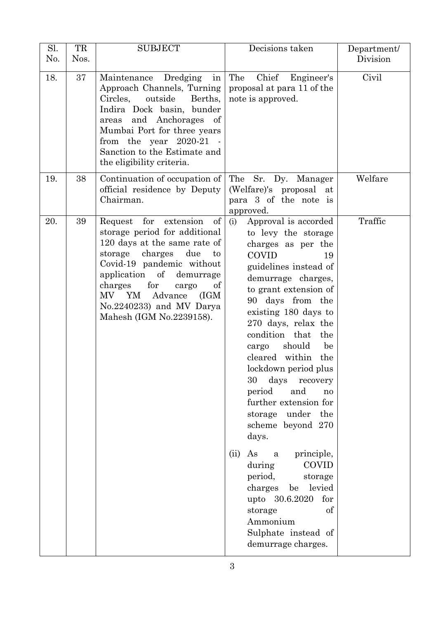| Sl.<br>No. | TR<br>Nos. | <b>SUBJECT</b>                                                                                                                                                                                                                                                                                                      | Decisions taken                                                                                                                                                                                                                                                                                                                                                                                                                                                  | Department/<br>Division |
|------------|------------|---------------------------------------------------------------------------------------------------------------------------------------------------------------------------------------------------------------------------------------------------------------------------------------------------------------------|------------------------------------------------------------------------------------------------------------------------------------------------------------------------------------------------------------------------------------------------------------------------------------------------------------------------------------------------------------------------------------------------------------------------------------------------------------------|-------------------------|
| 18.        | 37         | Dredging<br>Maintenance<br>in<br>Approach Channels, Turning<br>Circles,<br>outside<br>Berths,<br>Indira Dock basin, bunder<br>and Anchorages of<br>areas<br>Mumbai Port for three years<br>from the year $2020-21$ .<br>Sanction to the Estimate and<br>the eligibility criteria.                                   | The<br>Chief<br>Engineer's<br>proposal at para 11 of the<br>note is approved.                                                                                                                                                                                                                                                                                                                                                                                    | Civil                   |
| 19.        | 38         | Continuation of occupation of<br>official residence by Deputy<br>Chairman.                                                                                                                                                                                                                                          | The Sr. Dy. Manager<br>(Welfare)'s proposal at<br>para 3 of the note is<br>approved.                                                                                                                                                                                                                                                                                                                                                                             | Welfare                 |
| 20.        | 39         | of<br>for<br>extension<br>Request<br>storage period for additional<br>120 days at the same rate of<br>charges<br>due<br>storage<br>to<br>Covid-19 pandemic without<br>application of demurrage<br>charges<br>for<br>cargo<br>of<br>MV YM<br>Advance<br>(IGM<br>No.2240233) and MV Darya<br>Mahesh (IGM No.2239158). | Approval is accorded<br>(i)<br>to levy the storage<br>charges as per the<br><b>COVID</b><br>19<br>guidelines instead of<br>demurrage charges,<br>to grant extension of<br>90 days from the<br>existing 180 days to<br>270 days, relax the<br>condition that<br>the<br>should<br>be<br>cargo<br>cleared within the<br>lockdown period plus<br>30 days recovery<br>period<br>and<br>no<br>further extension for<br>storage under the<br>scheme beyond 270<br>days. | Traffic                 |
|            |            |                                                                                                                                                                                                                                                                                                                     | As a<br>principle,<br>(ii)<br><b>COVID</b><br>during<br>period,<br>storage<br>charges be levied<br>upto 30.6.2020 for<br>of<br>storage<br>Ammonium<br>Sulphate instead of<br>demurrage charges.                                                                                                                                                                                                                                                                  |                         |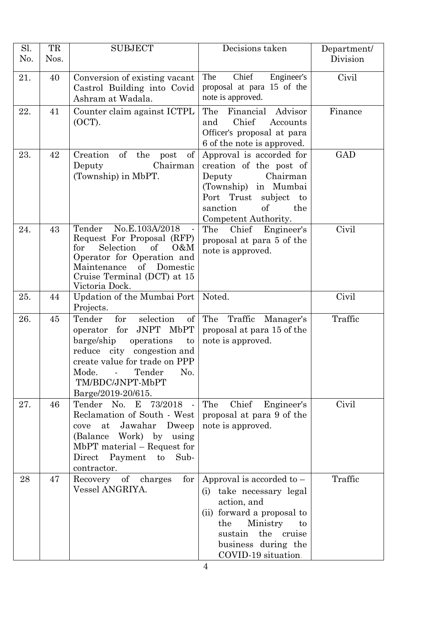| Sl.<br>No. | TR<br>Nos. | <b>SUBJECT</b>                                                                                                                                                                                                                    | Decisions taken                                                                                                                                                                                         | Department/<br>Division |
|------------|------------|-----------------------------------------------------------------------------------------------------------------------------------------------------------------------------------------------------------------------------------|---------------------------------------------------------------------------------------------------------------------------------------------------------------------------------------------------------|-------------------------|
| 21.        | 40         | Conversion of existing vacant<br>Castrol Building into Covid<br>Ashram at Wadala.                                                                                                                                                 | Engineer's<br>Chief<br>The<br>proposal at para 15 of the<br>note is approved.                                                                                                                           | Civil                   |
| 22.        | 41         | Counter claim against ICTPL<br>(OCT).                                                                                                                                                                                             | The<br>Financial<br>Advisor<br>Chief<br>and<br>Accounts<br>Officer's proposal at para<br>6 of the note is approved.                                                                                     | Finance                 |
| 23.        | 42         | of<br>Creation<br>the<br>of<br>post<br>Chairman<br>Deputy<br>(Township) in MbPT.                                                                                                                                                  | Approval is accorded for<br>creation of the post of<br>Chairman<br>Deputy<br>(Township) in Mumbai<br>Port Trust<br>subject<br>$\mathbf{t}$<br>of<br>sanction<br>the<br>Competent Authority.             | <b>GAD</b>              |
| 24.        | 43         | Tender No.E.103A/2018<br>$\blacksquare$<br>Request For Proposal (RFP)<br>for<br>Selection<br>of<br>0&M<br>Operator for Operation and<br>Maintenance<br>of<br>Domestic<br>Cruise Terminal (DCT) at 15<br>Victoria Dock.            | The Chief Engineer's<br>proposal at para 5 of the<br>note is approved.                                                                                                                                  | Civil                   |
| 25.        | 44         | Updation of the Mumbai Port<br>Projects.                                                                                                                                                                                          | Noted.                                                                                                                                                                                                  | Civil                   |
| 26.        | 45         | for<br>selection<br>Tender<br>of<br>JNPT MbPT<br>operator for<br>barge/ship<br>operations<br>to<br>reduce city congestion and<br>create value for trade on PPP<br>Mode. - Tender<br>No.<br>TM/BDC/JNPT-MbPT<br>Barge/2019-20/615. | The<br>Traffic<br>Manager's<br>proposal at para 15 of the<br>note is approved.                                                                                                                          | Traffic                 |
| 27.        | 46         | Tender No. E 73/2018 -<br>Reclamation of South - West<br>Jawahar<br>at<br>Dweep<br>cove<br>(Balance Work) by<br>using<br>$MbPT material - Request for$<br>Payment to<br>Direct<br>Sub-<br>contractor.                             | The<br>Chief<br>Engineer's<br>proposal at para 9 of the<br>note is approved.                                                                                                                            | Civil                   |
| 28         | 47         | for<br>Recovery of charges<br>Vessel ANGRIYA.                                                                                                                                                                                     | Approval is accorded to $-$<br>take necessary legal<br>(i)<br>action, and<br>(ii) forward a proposal to<br>Ministry<br>the<br>to<br>sustain<br>the cruise<br>business during the<br>COVID-19 situation. | Traffic                 |